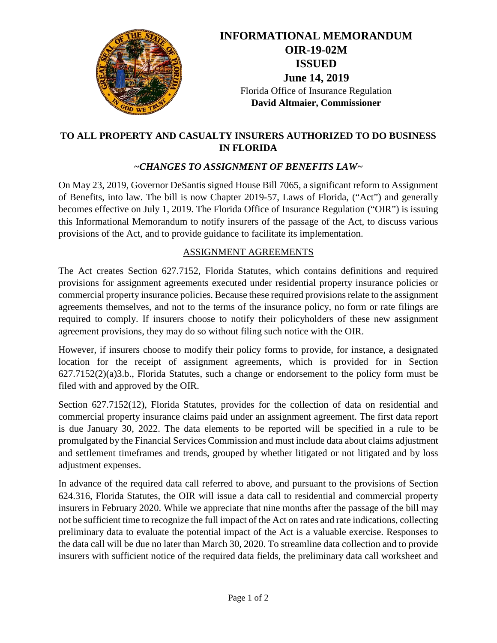

# **INFORMATIONAL MEMORANDUM OIR-19-02M ISSUED June 14, 2019** Florida Office of Insurance Regulation **David Altmaier, Commissioner**

#### **TO ALL PROPERTY AND CASUALTY INSURERS AUTHORIZED TO DO BUSINESS IN FLORIDA**

### *~CHANGES TO ASSIGNMENT OF BENEFITS LAW~*

On May 23, 2019, Governor DeSantis signed House Bill 7065, a significant reform to Assignment of Benefits, into law. The bill is now Chapter 2019-57, Laws of Florida, ("Act") and generally becomes effective on July 1, 2019. The Florida Office of Insurance Regulation ("OIR") is issuing this Informational Memorandum to notify insurers of the passage of the Act, to discuss various provisions of the Act, and to provide guidance to facilitate its implementation.

#### ASSIGNMENT AGREEMENTS

The Act creates Section 627.7152, Florida Statutes, which contains definitions and required provisions for assignment agreements executed under residential property insurance policies or commercial property insurance policies. Because these required provisions relate to the assignment agreements themselves, and not to the terms of the insurance policy, no form or rate filings are required to comply. If insurers choose to notify their policyholders of these new assignment agreement provisions, they may do so without filing such notice with the OIR.

However, if insurers choose to modify their policy forms to provide, for instance, a designated location for the receipt of assignment agreements, which is provided for in Section 627.7152(2)(a)3.b., Florida Statutes, such a change or endorsement to the policy form must be filed with and approved by the OIR.

Section 627.7152(12), Florida Statutes, provides for the collection of data on residential and commercial property insurance claims paid under an assignment agreement. The first data report is due January 30, 2022. The data elements to be reported will be specified in a rule to be promulgated by the Financial Services Commission and must include data about claims adjustment and settlement timeframes and trends, grouped by whether litigated or not litigated and by loss adjustment expenses.

In advance of the required data call referred to above, and pursuant to the provisions of Section 624.316, Florida Statutes, the OIR will issue a data call to residential and commercial property insurers in February 2020. While we appreciate that nine months after the passage of the bill may not be sufficient time to recognize the full impact of the Act on rates and rate indications, collecting preliminary data to evaluate the potential impact of the Act is a valuable exercise. Responses to the data call will be due no later than March 30, 2020. To streamline data collection and to provide insurers with sufficient notice of the required data fields, the preliminary data call worksheet and